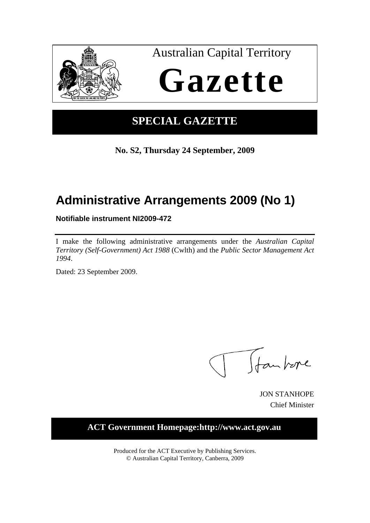

# **SPECIAL GAZETTE**

**No. S2, Thursday 24 September, 2009**

# **Administrative Arrangements 2009 (No 1)**

**Notifiable instrument NI2009-472** 

I make the following administrative arrangements under the *Australian Capital Territory (Self-Government) Act 1988* (Cwlth) and the *Public Sector Management Act 1994*.

Dated: 23 September 2009.

Ttankore

JON STANHOPE Chief Minister

### **ACT Government Homepage:http://www.act.gov.au**

Produced for the ACT Executive by Publishing Services. © Australian Capital Territory, Canberra, 2009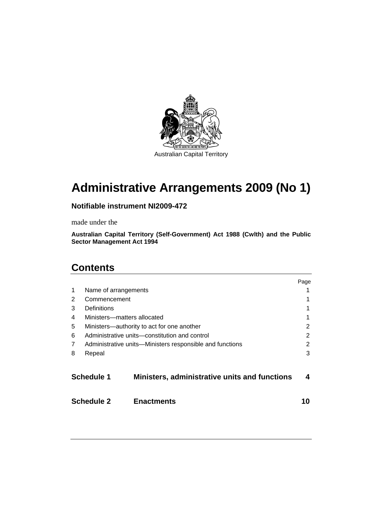

# **Administrative Arrangements 2009 (No 1)**

### **Notifiable instrument NI2009-472**

made under the

**Australian Capital Territory (Self-Government) Act 1988 (Cwlth) and the Public Sector Management Act 1994** 

### **Contents**

|                   |                                                             |                   | Page |
|-------------------|-------------------------------------------------------------|-------------------|------|
| 1                 | Name of arrangements                                        |                   |      |
| 2                 | Commencement                                                |                   |      |
| 3                 | Definitions                                                 |                   |      |
| 4                 | Ministers-matters allocated                                 |                   |      |
| 5                 | Ministers-authority to act for one another                  |                   |      |
| 6                 | Administrative units—constitution and control               |                   |      |
| 7                 | Administrative units—Ministers responsible and functions    |                   |      |
| 8                 | Repeal                                                      |                   | 3    |
|                   | Schedule 1<br>Ministers, administrative units and functions |                   |      |
| <b>Schedule 2</b> |                                                             | <b>Enactments</b> |      |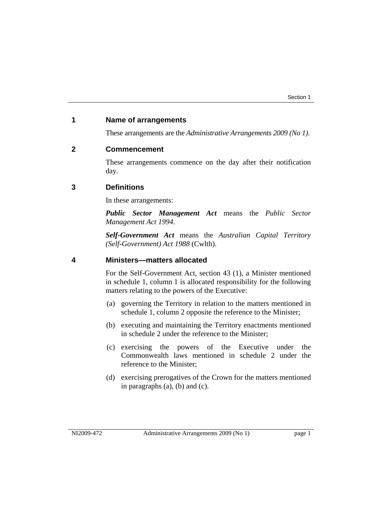#### **1 Name of arrangements**

These arrangements are the *Administrative Arrangements 2009 (No 1)*.

#### **2 Commencement**

These arrangements commence on the day after their notification day.

#### **3 Definitions**

In these arrangements:

*Public Sector Management Act* means the *Public Sector Management Act 1994*.

*Self-Government Act* means the *Australian Capital Territory (Self-Government) Act 1988* (Cwlth).

#### **4 Ministers—matters allocated**

For the Self-Government Act, section 43 (1), a Minister mentioned in schedule 1, column 1 is allocated responsibility for the following matters relating to the powers of the Executive:

- (a) governing the Territory in relation to the matters mentioned in schedule 1, column 2 opposite the reference to the Minister;
- (b) executing and maintaining the Territory enactments mentioned in schedule 2 under the reference to the Minister;
- (c) exercising the powers of the Executive under the Commonwealth laws mentioned in schedule 2 under the reference to the Minister;
- (d) exercising prerogatives of the Crown for the matters mentioned in paragraphs (a), (b) and (c).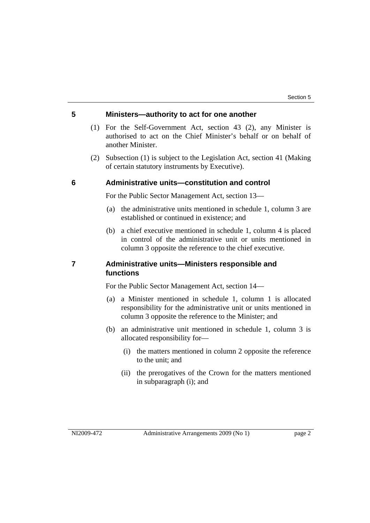#### **5 Ministers—authority to act for one another**

- (1) For the Self-Government Act, section 43 (2), any Minister is authorised to act on the Chief Minister's behalf or on behalf of another Minister.
- (2) Subsection (1) is subject to the Legislation Act, section 41 (Making of certain statutory instruments by Executive).

#### **6 Administrative units—constitution and control**

For the Public Sector Management Act, section 13—

- (a) the administrative units mentioned in schedule 1, column 3 are established or continued in existence; and
- (b) a chief executive mentioned in schedule 1, column 4 is placed in control of the administrative unit or units mentioned in column 3 opposite the reference to the chief executive.

#### **7 Administrative units—Ministers responsible and functions**

For the Public Sector Management Act, section 14—

- (a) a Minister mentioned in schedule 1, column 1 is allocated responsibility for the administrative unit or units mentioned in column 3 opposite the reference to the Minister; and
- (b) an administrative unit mentioned in schedule 1, column 3 is allocated responsibility for—
	- (i) the matters mentioned in column 2 opposite the reference to the unit; and
	- (ii) the prerogatives of the Crown for the matters mentioned in subparagraph (i); and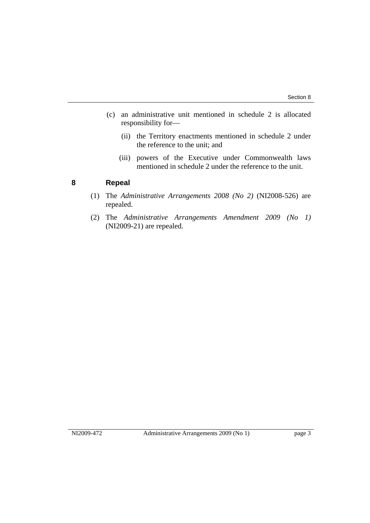- (c) an administrative unit mentioned in schedule 2 is allocated responsibility for—
	- (ii) the Territory enactments mentioned in schedule 2 under the reference to the unit; and
	- (iii) powers of the Executive under Commonwealth laws mentioned in schedule 2 under the reference to the unit.

#### **8 Repeal**

- (1) The *Administrative Arrangements 2008 (No 2)* (NI2008-526) are repealed.
- (2) The *Administrative Arrangements Amendment 2009 (No 1)* (NI2009-21) are repealed.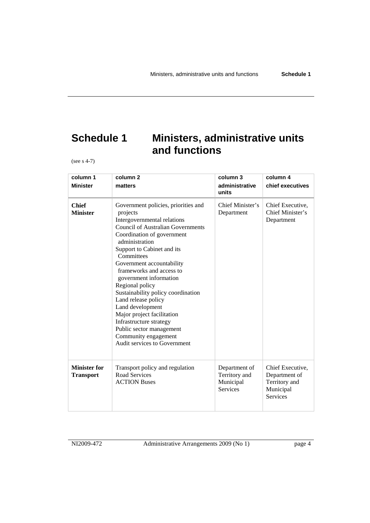# **Schedule 1 Ministers, administrative units and functions**

(see s 4-7)

| column 1<br><b>Minister</b>             | column <sub>2</sub><br>matters                                                                                                                                                                                                                                                                                                                                                                                                                                                                                                                             | column 3<br>administrative<br>units                            | column 4<br>chief executives                                                       |
|-----------------------------------------|------------------------------------------------------------------------------------------------------------------------------------------------------------------------------------------------------------------------------------------------------------------------------------------------------------------------------------------------------------------------------------------------------------------------------------------------------------------------------------------------------------------------------------------------------------|----------------------------------------------------------------|------------------------------------------------------------------------------------|
| <b>Chief</b><br><b>Minister</b>         | Government policies, priorities and<br>projects<br>Intergovernmental relations<br><b>Council of Australian Governments</b><br>Coordination of government<br>administration<br>Support to Cabinet and its<br>Committees<br>Government accountability<br>frameworks and access to<br>government information<br>Regional policy<br>Sustainability policy coordination<br>Land release policy<br>Land development<br>Major project facilitation<br>Infrastructure strategy<br>Public sector management<br>Community engagement<br>Audit services to Government | Chief Minister's<br>Department                                 | Chief Executive,<br>Chief Minister's<br>Department                                 |
| <b>Minister for</b><br><b>Transport</b> | Transport policy and regulation<br>Road Services<br><b>ACTION Buses</b>                                                                                                                                                                                                                                                                                                                                                                                                                                                                                    | Department of<br>Territory and<br>Municipal<br><b>Services</b> | Chief Executive,<br>Department of<br>Territory and<br>Municipal<br><b>Services</b> |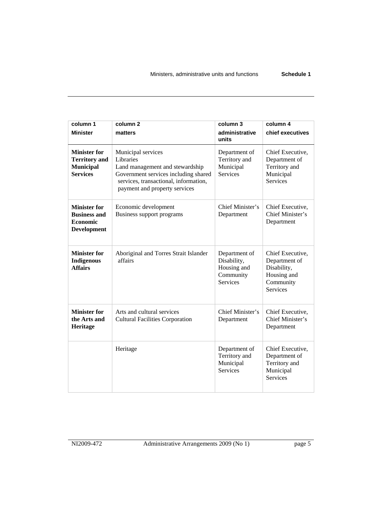| column 1<br><b>Minister</b>                                                         | column <sub>2</sub><br>matters                                                                                                                                                       | column 3<br>administrative<br>units                                         | column 4<br>chief executives                                                                    |
|-------------------------------------------------------------------------------------|--------------------------------------------------------------------------------------------------------------------------------------------------------------------------------------|-----------------------------------------------------------------------------|-------------------------------------------------------------------------------------------------|
| <b>Minister for</b><br><b>Territory</b> and<br><b>Municipal</b><br><b>Services</b>  | Municipal services<br>Libraries<br>Land management and stewardship<br>Government services including shared<br>services, transactional, information,<br>payment and property services | Department of<br>Territory and<br>Municipal<br>Services                     | Chief Executive,<br>Department of<br>Territory and<br>Municipal<br><b>Services</b>              |
| <b>Minister for</b><br><b>Business and</b><br><b>Economic</b><br><b>Development</b> | Economic development<br>Business support programs                                                                                                                                    | Chief Minister's<br>Department                                              | Chief Executive,<br>Chief Minister's<br>Department                                              |
| <b>Minister for</b><br><b>Indigenous</b><br><b>Affairs</b>                          | Aboriginal and Torres Strait Islander<br>affairs                                                                                                                                     | Department of<br>Disability,<br>Housing and<br>Community<br><b>Services</b> | Chief Executive,<br>Department of<br>Disability,<br>Housing and<br>Community<br><b>Services</b> |
| <b>Minister for</b><br>the Arts and<br>Heritage                                     | Arts and cultural services<br><b>Cultural Facilities Corporation</b>                                                                                                                 | Chief Minister's<br>Department                                              | Chief Executive,<br>Chief Minister's<br>Department                                              |
|                                                                                     | Heritage                                                                                                                                                                             | Department of<br>Territory and<br>Municipal<br><b>Services</b>              | Chief Executive,<br>Department of<br>Territory and<br>Municipal<br><b>Services</b>              |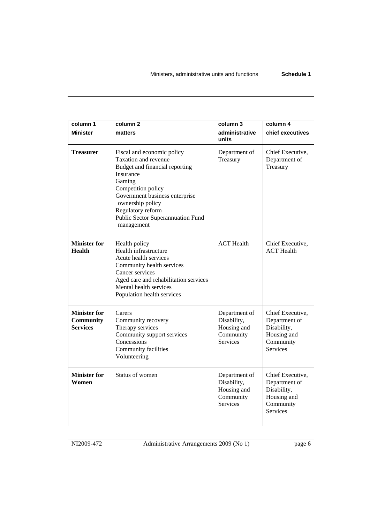| column 1<br><b>Minister</b>                                | column <sub>2</sub><br>matters                                                                                                                                                                                                                                  | column 3<br>administrative<br>units                                         | column 4<br>chief executives                                                                    |
|------------------------------------------------------------|-----------------------------------------------------------------------------------------------------------------------------------------------------------------------------------------------------------------------------------------------------------------|-----------------------------------------------------------------------------|-------------------------------------------------------------------------------------------------|
| <b>Treasurer</b>                                           | Fiscal and economic policy<br>Taxation and revenue<br>Budget and financial reporting<br>Insurance<br>Gaming<br>Competition policy<br>Government business enterprise<br>ownership policy<br>Regulatory reform<br>Public Sector Superannuation Fund<br>management | Department of<br>Treasury                                                   | Chief Executive,<br>Department of<br>Treasury                                                   |
| <b>Minister for</b><br><b>Health</b>                       | Health policy<br>Health infrastructure<br>Acute health services<br>Community health services<br>Cancer services<br>Aged care and rehabilitation services<br>Mental health services<br>Population health services                                                | <b>ACT</b> Health                                                           | Chief Executive,<br><b>ACT</b> Health                                                           |
| <b>Minister for</b><br><b>Community</b><br><b>Services</b> | Carers<br>Community recovery<br>Therapy services<br>Community support services<br>Concessions<br>Community facilities<br>Volunteering                                                                                                                           | Department of<br>Disability,<br>Housing and<br>Community<br><b>Services</b> | Chief Executive,<br>Department of<br>Disability,<br>Housing and<br>Community<br><b>Services</b> |
| <b>Minister for</b><br>Women                               | Status of women                                                                                                                                                                                                                                                 | Department of<br>Disability,<br>Housing and<br>Community<br><b>Services</b> | Chief Executive,<br>Department of<br>Disability,<br>Housing and<br>Community<br><b>Services</b> |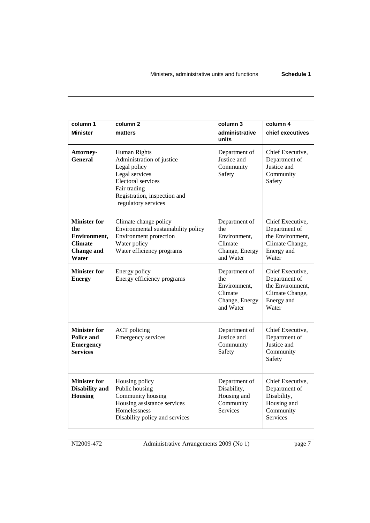| column 1<br><b>Minister</b>                                                                | column <sub>2</sub><br>matters                                                                                                                                                  | column 3<br>administrative<br>units                                            | column 4<br>chief executives                                                                    |
|--------------------------------------------------------------------------------------------|---------------------------------------------------------------------------------------------------------------------------------------------------------------------------------|--------------------------------------------------------------------------------|-------------------------------------------------------------------------------------------------|
| Attorney-<br>General                                                                       | Human Rights<br>Administration of justice<br>Legal policy<br>Legal services<br><b>Electoral services</b><br>Fair trading<br>Registration, inspection and<br>regulatory services | Department of<br>Justice and<br>Community<br>Safety                            | Chief Executive,<br>Department of<br>Justice and<br>Community<br>Safety                         |
| <b>Minister for</b><br>the<br>Environment,<br><b>Climate</b><br><b>Change and</b><br>Water | Climate change policy<br>Environmental sustainability policy<br>Environment protection<br>Water policy<br>Water efficiency programs                                             | Department of<br>the<br>Environment.<br>Climate<br>Change, Energy<br>and Water | Chief Executive,<br>Department of<br>the Environment,<br>Climate Change,<br>Energy and<br>Water |
| <b>Minister for</b><br><b>Energy</b>                                                       | Energy policy<br>Energy efficiency programs                                                                                                                                     | Department of<br>the<br>Environment,<br>Climate<br>Change, Energy<br>and Water | Chief Executive,<br>Department of<br>the Environment,<br>Climate Change,<br>Energy and<br>Water |
| <b>Minister for</b><br><b>Police and</b><br><b>Emergency</b><br><b>Services</b>            | <b>ACT</b> policing<br><b>Emergency services</b>                                                                                                                                | Department of<br>Justice and<br>Community<br>Safety                            | Chief Executive,<br>Department of<br>Justice and<br>Community<br>Safety                         |
| <b>Minister for</b><br><b>Disability and</b><br><b>Housing</b>                             | Housing policy<br>Public housing<br>Community housing<br>Housing assistance services<br>Homelessness<br>Disability policy and services                                          | Department of<br>Disability,<br>Housing and<br>Community<br><b>Services</b>    | Chief Executive,<br>Department of<br>Disability,<br>Housing and<br>Community<br><b>Services</b> |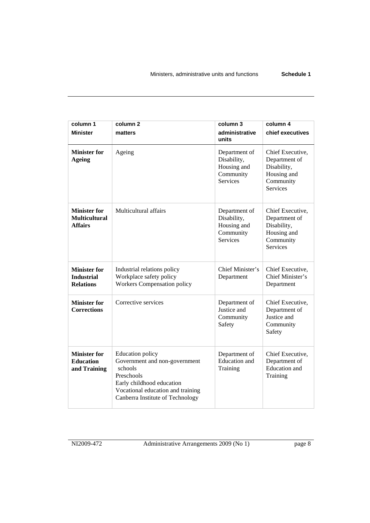| column 1<br><b>Minister</b>                                   | column <sub>2</sub><br>matters                                                                                                                                                          | column 3<br>administrative<br>units                                         | column 4<br>chief executives                                                                    |
|---------------------------------------------------------------|-----------------------------------------------------------------------------------------------------------------------------------------------------------------------------------------|-----------------------------------------------------------------------------|-------------------------------------------------------------------------------------------------|
| <b>Minister for</b><br>Ageing                                 | Ageing                                                                                                                                                                                  | Department of<br>Disability,<br>Housing and<br>Community<br><b>Services</b> | Chief Executive,<br>Department of<br>Disability,<br>Housing and<br>Community<br><b>Services</b> |
| <b>Minister for</b><br><b>Multicultural</b><br><b>Affairs</b> | Multicultural affairs                                                                                                                                                                   | Department of<br>Disability,<br>Housing and<br>Community<br><b>Services</b> | Chief Executive,<br>Department of<br>Disability,<br>Housing and<br>Community<br><b>Services</b> |
| <b>Minister for</b><br><b>Industrial</b><br><b>Relations</b>  | Industrial relations policy<br>Workplace safety policy<br><b>Workers Compensation policy</b>                                                                                            | Chief Minister's<br>Department                                              | Chief Executive,<br>Chief Minister's<br>Department                                              |
| <b>Minister for</b><br><b>Corrections</b>                     | Corrective services                                                                                                                                                                     | Department of<br>Justice and<br>Community<br>Safety                         | Chief Executive,<br>Department of<br>Justice and<br>Community<br>Safety                         |
| <b>Minister for</b><br><b>Education</b><br>and Training       | <b>Education policy</b><br>Government and non-government<br>schools<br>Preschools<br>Early childhood education<br>Vocational education and training<br>Canberra Institute of Technology | Department of<br><b>Education</b> and<br>Training                           | Chief Executive,<br>Department of<br><b>Education</b> and<br>Training                           |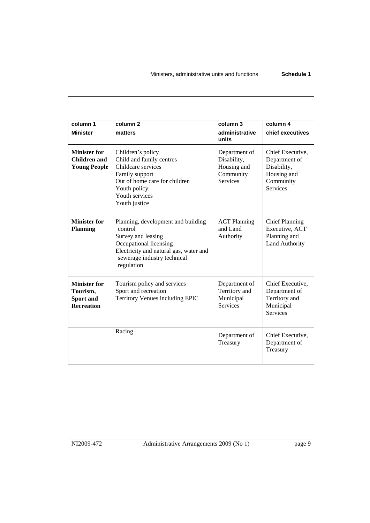| column 1<br><b>Minister</b>                                       | column <sub>2</sub><br>matters                                                                                                                                                       | column 3<br>administrative<br>units                                  | column 4<br>chief executives                                                                    |
|-------------------------------------------------------------------|--------------------------------------------------------------------------------------------------------------------------------------------------------------------------------------|----------------------------------------------------------------------|-------------------------------------------------------------------------------------------------|
| <b>Minister for</b><br>Children and<br><b>Young People</b>        | Children's policy<br>Child and family centres<br>Childcare services<br>Family support<br>Out of home care for children<br>Youth policy<br>Youth services<br>Youth justice            | Department of<br>Disability,<br>Housing and<br>Community<br>Services | Chief Executive,<br>Department of<br>Disability,<br>Housing and<br>Community<br><b>Services</b> |
| <b>Minister for</b><br><b>Planning</b>                            | Planning, development and building<br>control<br>Survey and leasing<br>Occupational licensing<br>Electricity and natural gas, water and<br>sewerage industry technical<br>regulation | <b>ACT Planning</b><br>and Land<br>Authority                         | <b>Chief Planning</b><br>Executive, ACT<br>Planning and<br><b>Land Authority</b>                |
| <b>Minister for</b><br>Tourism,<br>Sport and<br><b>Recreation</b> | Tourism policy and services<br>Sport and recreation<br>Territory Venues including EPIC                                                                                               | Department of<br>Territory and<br>Municipal<br><b>Services</b>       | Chief Executive,<br>Department of<br>Territory and<br>Municipal<br><b>Services</b>              |
|                                                                   | Racing                                                                                                                                                                               | Department of<br>Treasury                                            | Chief Executive,<br>Department of<br>Treasury                                                   |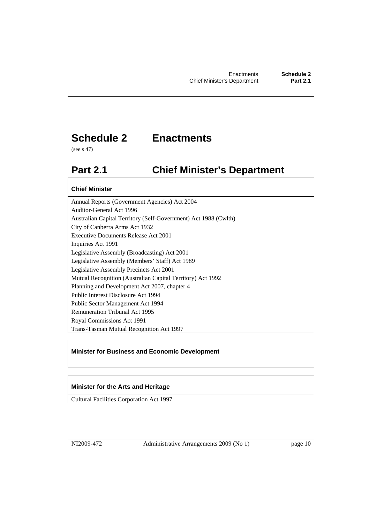# **Schedule 2 Enactments**

(see s 47)

# **Part 2.1 Chief Minister's Department**

#### **Chief Minister**

Annual Reports (Government Agencies) Act 2004 Auditor-General Act 1996 Australian Capital Territory (Self-Government) Act 1988 (Cwlth) City of Canberra Arms Act 1932 Executive Documents Release Act 2001 Inquiries Act 1991 Legislative Assembly (Broadcasting) Act 2001 Legislative Assembly (Members' Staff) Act 1989 Legislative Assembly Precincts Act 2001 Mutual Recognition (Australian Capital Territory) Act 1992 Planning and Development Act 2007, chapter 4 Public Interest Disclosure Act 1994 Public Sector Management Act 1994 Remuneration Tribunal Act 1995 Royal Commissions Act 1991 Trans-Tasman Mutual Recognition Act 1997

#### **Minister for Business and Economic Development**

#### **Minister for the Arts and Heritage**

Cultural Facilities Corporation Act 1997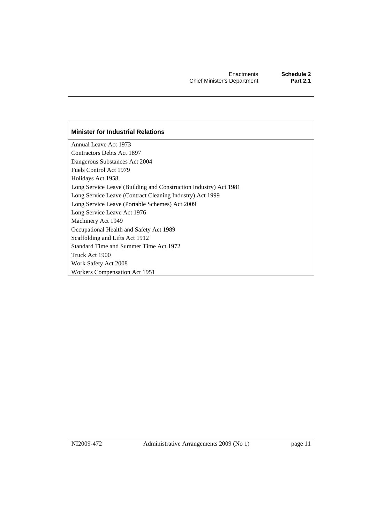#### **Minister for Industrial Relations**

Annual Leave Act 1973 Contractors Debts Act 1897 Dangerous Substances Act 2004 Fuels Control Act 1979 Holidays Act 1958 Long Service Leave (Building and Construction Industry) Act 1981 Long Service Leave (Contract Cleaning Industry) Act 1999 Long Service Leave (Portable Schemes) Act 2009 Long Service Leave Act 1976 Machinery Act 1949 Occupational Health and Safety Act 1989 Scaffolding and Lifts Act 1912 Standard Time and Summer Time Act 1972 Truck Act 1900 Work Safety Act 2008 Workers Compensation Act 1951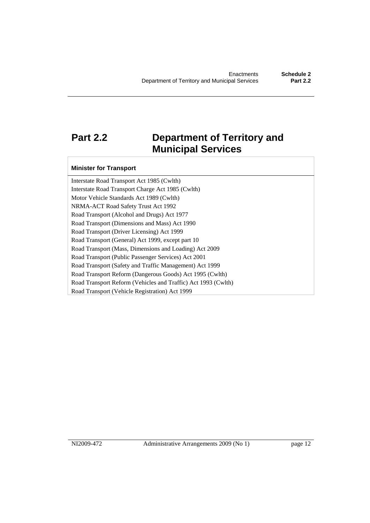# **Part 2.2 Department of Territory and Municipal Services**

#### **Minister for Transport**

Interstate Road Transport Act 1985 (Cwlth) Interstate Road Transport Charge Act 1985 (Cwlth) Motor Vehicle Standards Act 1989 (Cwlth) NRMA-ACT Road Safety Trust Act 1992 Road Transport (Alcohol and Drugs) Act 1977 Road Transport (Dimensions and Mass) Act 1990 Road Transport (Driver Licensing) Act 1999 Road Transport (General) Act 1999, except part 10 Road Transport (Mass, Dimensions and Loading) Act 2009 Road Transport (Public Passenger Services) Act 2001 Road Transport (Safety and Traffic Management) Act 1999 Road Transport Reform (Dangerous Goods) Act 1995 (Cwlth) Road Transport Reform (Vehicles and Traffic) Act 1993 (Cwlth) Road Transport (Vehicle Registration) Act 1999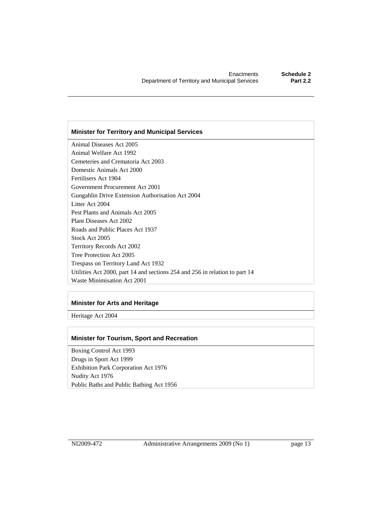#### **Minister for Territory and Municipal Services**

Animal Diseases Act 2005 Animal Welfare Act 1992 Cemeteries and Crematoria Act 2003 Domestic Animals Act 2000 Fertilisers Act 1904 Government Procurement Act 2001 Gungahlin Drive Extension Authorisation Act 2004 Litter Act 2004 Pest Plants and Animals Act 2005 Plant Diseases Act 2002 Roads and Public Places Act 1937 Stock Act 2005 Territory Records Act 2002 Tree Protection Act 2005 Trespass on Territory Land Act 1932 Utilities Act 2000, part 14 and sections 254 and 256 in relation to part 14 Waste Minimisation Act 2001

#### **Minister for Arts and Heritage**

Heritage Act 2004

#### **Minister for Tourism, Sport and Recreation**

Boxing Control Act 1993 Drugs in Sport Act 1999 Exhibition Park Corporation Act 1976 Nudity Act 1976 Public Baths and Public Bathing Act 1956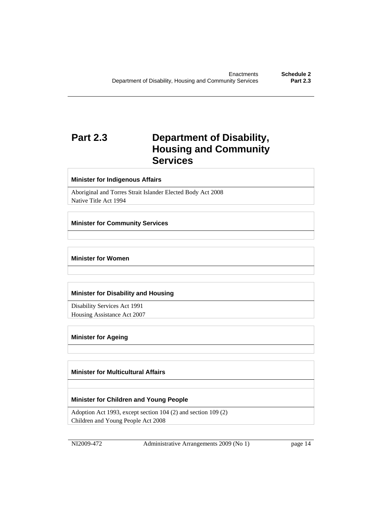# **Part 2.3 Department of Disability, Housing and Community Services**

#### **Minister for Indigenous Affairs**

Aboriginal and Torres Strait Islander Elected Body Act 2008 Native Title Act 1994

#### **Minister for Community Services**

#### **Minister for Women**

#### **Minister for Disability and Housing**

Disability Services Act 1991 Housing Assistance Act 2007

#### **Minister for Ageing**

#### **Minister for Multicultural Affairs**

#### **Minister for Children and Young People**

Adoption Act 1993, except section 104 (2) and section 109 (2) Children and Young People Act 2008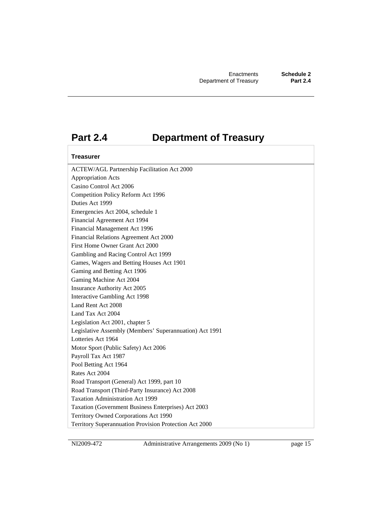### **Part 2.4 Department of Treasury**

#### **Treasurer**

ACTEW/AGL Partnership Facilitation Act 2000 Appropriation Acts Casino Control Act 2006 Competition Policy Reform Act 1996 Duties Act 1999 Emergencies Act 2004, schedule 1 Financial Agreement Act 1994 Financial Management Act 1996 Financial Relations Agreement Act 2000 First Home Owner Grant Act 2000 Gambling and Racing Control Act 1999 Games, Wagers and Betting Houses Act 1901 Gaming and Betting Act 1906 Gaming Machine Act 2004 Insurance Authority Act 2005 Interactive Gambling Act 1998 Land Rent Act 2008 Land Tax Act 2004 Legislation Act 2001, chapter 5 Legislative Assembly (Members' Superannuation) Act 1991 Lotteries Act 1964 Motor Sport (Public Safety) Act 2006 Payroll Tax Act 1987 Pool Betting Act 1964 Rates Act 2004 Road Transport (General) Act 1999, part 10 Road Transport (Third-Party Insurance) Act 2008 Taxation Administration Act 1999 Taxation (Government Business Enterprises) Act 2003 Territory Owned Corporations Act 1990 Territory Superannuation Provision Protection Act 2000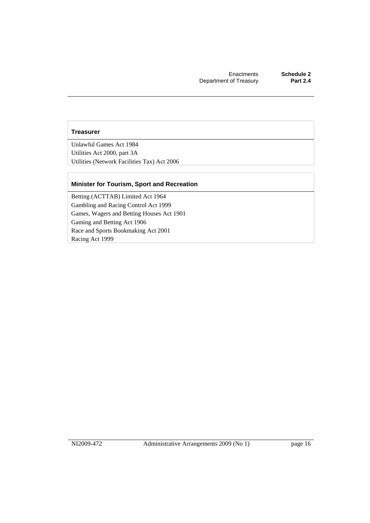#### **Treasurer**

Unlawful Games Act 1984 Utilities Act 2000, part 3A Utilities (Network Facilities Tax) Act 2006

#### **Minister for Tourism, Sport and Recreation**

Betting (ACTTAB) Limited Act 1964 Gambling and Racing Control Act 1999 Games, Wagers and Betting Houses Act 1901 Gaming and Betting Act 1906 Race and Sports Bookmaking Act 2001 Racing Act 1999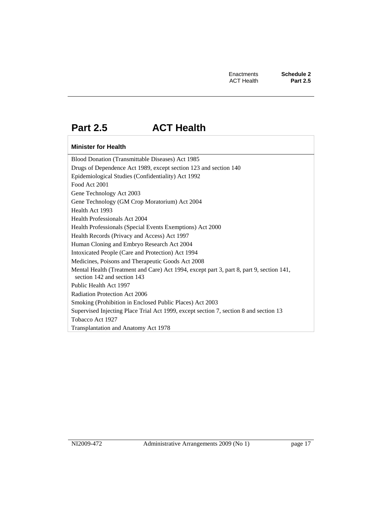# **Part 2.5 ACT Health**

#### **Minister for Health**

Blood Donation (Transmittable Diseases) Act 1985 Drugs of Dependence Act 1989, except section 123 and section 140 Epidemiological Studies (Confidentiality) Act 1992 Food Act 2001 Gene Technology Act 2003 Gene Technology (GM Crop Moratorium) Act 2004 Health Act 1993 Health Professionals Act 2004 Health Professionals (Special Events Exemptions) Act 2000 Health Records (Privacy and Access) Act 1997 Human Cloning and Embryo Research Act 2004 Intoxicated People (Care and Protection) Act 1994 Medicines, Poisons and Therapeutic Goods Act 2008 Mental Health (Treatment and Care) Act 1994, except part 3, part 8, part 9, section 141, section 142 and section 143 Public Health Act 1997 Radiation Protection Act 2006 Smoking (Prohibition in Enclosed Public Places) Act 2003 Supervised Injecting Place Trial Act 1999, except section 7, section 8 and section 13 Tobacco Act 1927 Transplantation and Anatomy Act 1978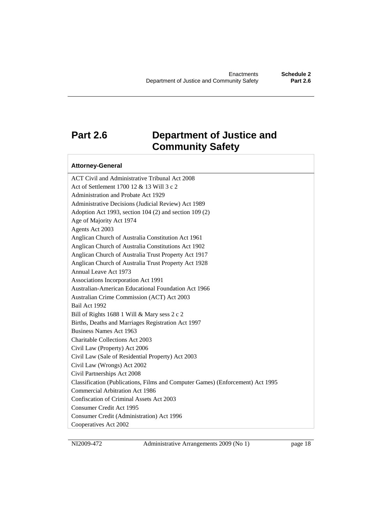### **Part 2.6 Department of Justice and Community Safety**

#### **Attorney-General**

ACT Civil and Administrative Tribunal Act 2008 Act of Settlement 1700 12 & 13 Will 3 c 2 Administration and Probate Act 1929 Administrative Decisions (Judicial Review) Act 1989 Adoption Act 1993, section 104 (2) and section 109 (2) Age of Majority Act 1974 Agents Act 2003 Anglican Church of Australia Constitution Act 1961 Anglican Church of Australia Constitutions Act 1902 Anglican Church of Australia Trust Property Act 1917 Anglican Church of Australia Trust Property Act 1928 Annual Leave Act 1973 Associations Incorporation Act 1991 Australian-American Educational Foundation Act 1966 Australian Crime Commission (ACT) Act 2003 Bail Act 1992 Bill of Rights 1688 1 Will & Mary sess 2 c 2 Births, Deaths and Marriages Registration Act 1997 Business Names Act 1963 Charitable Collections Act 2003 Civil Law (Property) Act 2006 Civil Law (Sale of Residential Property) Act 2003 Civil Law (Wrongs) Act 2002 Civil Partnerships Act 2008 Classification (Publications, Films and Computer Games) (Enforcement) Act 1995 Commercial Arbitration Act 1986 Confiscation of Criminal Assets Act 2003 Consumer Credit Act 1995 Consumer Credit (Administration) Act 1996 Cooperatives Act 2002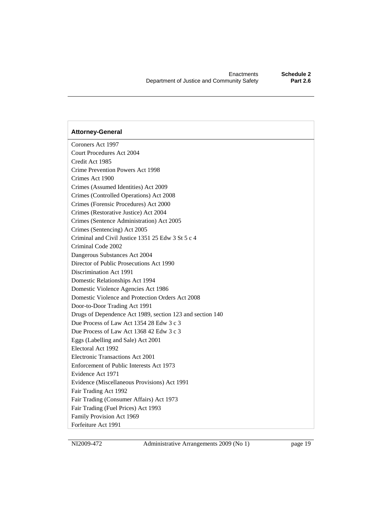Coroners Act 1997 Court Procedures Act 2004 Credit Act 1985 Crime Prevention Powers Act 1998 Crimes Act 1900 Crimes (Assumed Identities) Act 2009 Crimes (Controlled Operations) Act 2008 Crimes (Forensic Procedures) Act 2000 Crimes (Restorative Justice) Act 2004 Crimes (Sentence Administration) Act 2005 Crimes (Sentencing) Act 2005 Criminal and Civil Justice 1351 25 Edw 3 St 5 c 4 Criminal Code 2002 Dangerous Substances Act 2004 Director of Public Prosecutions Act 1990 Discrimination Act 1991 Domestic Relationships Act 1994 Domestic Violence Agencies Act 1986 Domestic Violence and Protection Orders Act 2008 Door-to-Door Trading Act 1991 Drugs of Dependence Act 1989, section 123 and section 140 Due Process of Law Act 1354 28 Edw 3 c 3 Due Process of Law Act 1368 42 Edw 3 c 3 Eggs (Labelling and Sale) Act 2001 Electoral Act 1992 Electronic Transactions Act 2001 Enforcement of Public Interests Act 1973 Evidence Act 1971 Evidence (Miscellaneous Provisions) Act 1991 Fair Trading Act 1992 Fair Trading (Consumer Affairs) Act 1973 Fair Trading (Fuel Prices) Act 1993 Family Provision Act 1969 Forfeiture Act 1991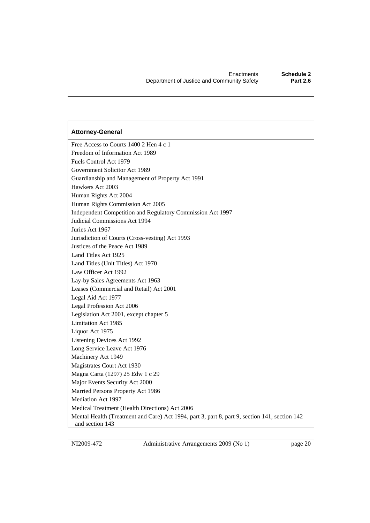Free Access to Courts 1400 2 Hen 4 c 1 Freedom of Information Act 1989 Fuels Control Act 1979 Government Solicitor Act 1989 Guardianship and Management of Property Act 1991 Hawkers Act 2003 Human Rights Act 2004 Human Rights Commission Act 2005 Independent Competition and Regulatory Commission Act 1997 Judicial Commissions Act 1994 Juries Act 1967 Jurisdiction of Courts (Cross-vesting) Act 1993 Justices of the Peace Act 1989 Land Titles Act 1925 Land Titles (Unit Titles) Act 1970 Law Officer Act 1992 Lay-by Sales Agreements Act 1963 Leases (Commercial and Retail) Act 2001 Legal Aid Act 1977 Legal Profession Act 2006 Legislation Act 2001, except chapter 5 Limitation Act 1985 Liquor Act 1975 Listening Devices Act 1992 Long Service Leave Act 1976 Machinery Act 1949 Magistrates Court Act 1930 Magna Carta (1297) 25 Edw 1 c 29 Major Events Security Act 2000 Married Persons Property Act 1986 Mediation Act 1997 Medical Treatment (Health Directions) Act 2006 Mental Health (Treatment and Care) Act 1994, part 3, part 8, part 9, section 141, section 142 and section 143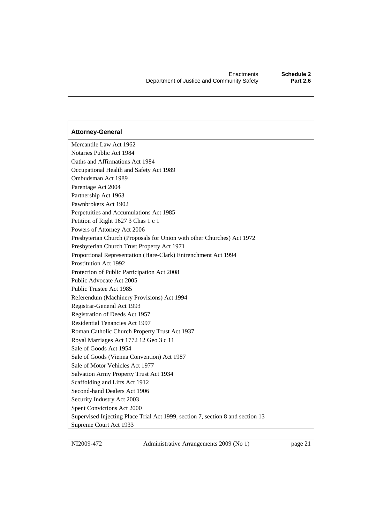Mercantile Law Act 1962 Notaries Public Act 1984 Oaths and Affirmations Act 1984 Occupational Health and Safety Act 1989 Ombudsman Act 1989 Parentage Act 2004 Partnership Act 1963 Pawnbrokers Act 1902 Perpetuities and Accumulations Act 1985 Petition of Right 1627 3 Chas 1 c 1 Powers of Attorney Act 2006 Presbyterian Church (Proposals for Union with other Churches) Act 1972 Presbyterian Church Trust Property Act 1971 Proportional Representation (Hare-Clark) Entrenchment Act 1994 Prostitution Act 1992 Protection of Public Participation Act 2008 Public Advocate Act 2005 Public Trustee Act 1985 Referendum (Machinery Provisions) Act 1994 Registrar-General Act 1993 Registration of Deeds Act 1957 Residential Tenancies Act 1997 Roman Catholic Church Property Trust Act 1937 Royal Marriages Act 1772 12 Geo 3 c 11 Sale of Goods Act 1954 Sale of Goods (Vienna Convention) Act 1987 Sale of Motor Vehicles Act 1977 Salvation Army Property Trust Act 1934 Scaffolding and Lifts Act 1912 Second-hand Dealers Act 1906 Security Industry Act 2003 Spent Convictions Act 2000 Supervised Injecting Place Trial Act 1999, section 7, section 8 and section 13 Supreme Court Act 1933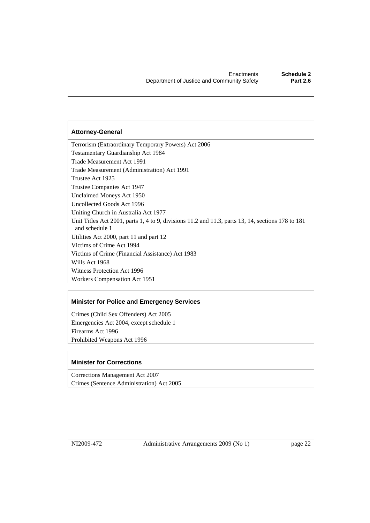Terrorism (Extraordinary Temporary Powers) Act 2006 Testamentary Guardianship Act 1984 Trade Measurement Act 1991 Trade Measurement (Administration) Act 1991 Trustee Act 1925 Trustee Companies Act 1947 Unclaimed Moneys Act 1950 Uncollected Goods Act 1996 Uniting Church in Australia Act 1977 Unit Titles Act 2001, parts 1, 4 to 9, divisions 11.2 and 11.3, parts 13, 14, sections 178 to 181 and schedule 1 Utilities Act 2000, part 11 and part 12 Victims of Crime Act 1994 Victims of Crime (Financial Assistance) Act 1983 Wills Act 1968 Witness Protection Act 1996 Workers Compensation Act 1951

#### **Minister for Police and Emergency Services**

Crimes (Child Sex Offenders) Act 2005 Emergencies Act 2004, except schedule 1 Firearms Act 1996 Prohibited Weapons Act 1996

#### **Minister for Corrections**

Corrections Management Act 2007 Crimes (Sentence Administration) Act 2005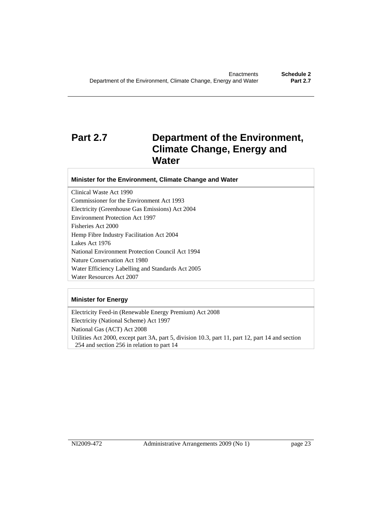# **Part 2.7 Department of the Environment, Climate Change, Energy and Water**

#### **Minister for the Environment, Climate Change and Water**

Clinical Waste Act 1990 Commissioner for the Environment Act 1993 Electricity (Greenhouse Gas Emissions) Act 2004 Environment Protection Act 1997 Fisheries Act 2000 Hemp Fibre Industry Facilitation Act 2004 Lakes Act 1976 National Environment Protection Council Act 1994 Nature Conservation Act 1980 Water Efficiency Labelling and Standards Act 2005 Water Resources Act 2007

#### **Minister for Energy**

Electricity Feed-in (Renewable Energy Premium) Act 2008 Electricity (National Scheme) Act 1997 National Gas (ACT) Act 2008 Utilities Act 2000, except part 3A, part 5, division 10.3, part 11, part 12, part 14 and section 254 and section 256 in relation to part 14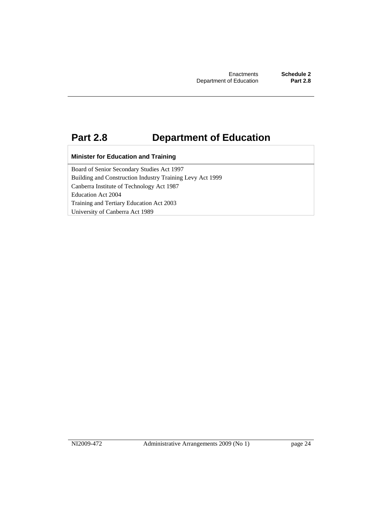# **Part 2.8 Department of Education**

#### **Minister for Education and Training**

Board of Senior Secondary Studies Act 1997 Building and Construction Industry Training Levy Act 1999 Canberra Institute of Technology Act 1987 Education Act 2004 Training and Tertiary Education Act 2003 University of Canberra Act 1989